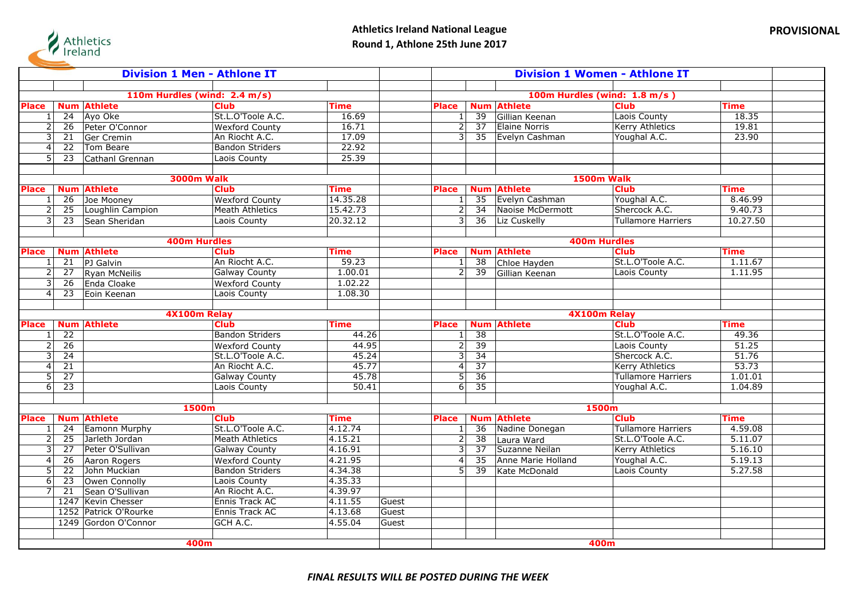

|                              | <b>Division 1 Men - Athlone IT</b> |                              |                                        |                        |       | <b>Division 1 Women - Athlone IT</b> |                 |                                      |                              |                        |  |
|------------------------------|------------------------------------|------------------------------|----------------------------------------|------------------------|-------|--------------------------------------|-----------------|--------------------------------------|------------------------------|------------------------|--|
|                              |                                    |                              |                                        |                        |       |                                      |                 |                                      |                              |                        |  |
|                              |                                    |                              | 110m Hurdles (wind: 2.4 m/s)           |                        |       |                                      |                 |                                      | 100m Hurdles (wind: 1.8 m/s) |                        |  |
| Place                        |                                    | <b>Num Athlete</b>           | <b>Club</b>                            | <b>Time</b>            |       | <b>Place</b>                         |                 | <b>Num Athlete</b>                   | <b>Club</b>                  | <b>Time</b>            |  |
| $\mathbf{1}$                 | 24                                 | Ayo Oke                      | St.L.O'Toole A.C.                      | 16.69                  |       | 1                                    | 39              | Gillian Keenan                       | Laois County                 | 18.35                  |  |
| 2                            | 26                                 | Peter O'Connor               | <b>Wexford County</b>                  | 16.71                  |       | $\overline{2}$                       | 37              | <b>Elaine Norris</b>                 | Kerry Athletics              | 19.81                  |  |
| 3                            | 21                                 | Ger Cremin                   | An Riocht A.C.                         | 17.09                  |       | $\overline{3}$                       | 35              | Evelyn Cashman                       | Youghal A.C.                 | 23.90                  |  |
| $\overline{4}$               | $\overline{22}$                    | Tom Beare                    | <b>Bandon Striders</b>                 | 22.92                  |       |                                      |                 |                                      |                              |                        |  |
| 5 <sup>1</sup>               | 23                                 | Cathanl Grennan              | Laois County                           | 25.39                  |       |                                      |                 |                                      |                              |                        |  |
|                              |                                    |                              |                                        |                        |       |                                      |                 |                                      |                              |                        |  |
|                              |                                    |                              | <b>3000m Walk</b>                      |                        |       |                                      |                 |                                      | <b>1500m Walk</b>            |                        |  |
| Place                        |                                    | <b>Num Athlete</b>           | <b>Club</b>                            | Time                   |       | <b>Place</b>                         |                 | <b>Num Athlete</b>                   | <b>Club</b>                  | <b>Time</b>            |  |
| 1                            | 26                                 | Joe Mooney                   | <b>Wexford County</b>                  | 14.35.28               |       |                                      | 35              | Evelyn Cashman                       | Youghal A.C.                 | 8.46.99                |  |
| $\overline{\phantom{0}}$     | 25                                 | Loughlin Campion             | <b>Meath Athletics</b>                 | 15.42.73               |       | $\overline{2}$                       | 34              | Naoise McDermott                     | Shercock A.C.                | 9.40.73                |  |
| 3                            | 23                                 | Sean Sheridan                | Laois County                           | 20.32.12               |       | $\overline{\mathbf{3}}$              | 36              | Liz Cuskelly                         | Tullamore Harriers           | 10.27.50               |  |
|                              |                                    |                              |                                        |                        |       |                                      |                 |                                      |                              |                        |  |
|                              |                                    |                              | <b>400m Hurdles</b>                    |                        |       |                                      |                 |                                      | <b>400m Hurdles</b>          |                        |  |
| Place                        |                                    | <b>Num Athlete</b>           | <b>Club</b>                            | Time                   |       | Place                                |                 | <b>Num Athlete</b>                   | <b>Club</b>                  | <b>Time</b>            |  |
| $\mathbf{1}$                 | 21                                 | PJ Galvin                    | An Riocht A.C.                         | 59.23                  |       | 1                                    | 38              | Chloe Hayden                         | St.L.O'Toole A.C.            | 1.11.67                |  |
|                              | $\overline{27}$                    | Ryan McNeilis                | <b>Galway County</b>                   | 1.00.01                |       | $\overline{2}$                       | 39              | Gillian Keenan                       | Laois County                 | 1.11.95                |  |
| 3                            | 26                                 | Enda Cloake                  | <b>Wexford County</b>                  | 1.02.22                |       |                                      |                 |                                      |                              |                        |  |
| $\overline{4}$               | $\overline{23}$                    | Eoin Keenan                  | Laois County                           | 1.08.30                |       |                                      |                 |                                      |                              |                        |  |
|                              |                                    |                              |                                        |                        |       |                                      |                 |                                      |                              |                        |  |
|                              |                                    |                              | 4X100m Relay                           |                        |       |                                      |                 |                                      | 4X100m Relay                 |                        |  |
| <b>Place</b>                 |                                    | <b>Num Athlete</b>           | <b>Club</b>                            | Time                   |       | <b>Place</b>                         |                 | <b>Num Athlete</b>                   | <b>Club</b>                  | <b>Time</b>            |  |
| 1                            | $\overline{22}$                    |                              | <b>Bandon Striders</b>                 | 44.26                  |       |                                      | $\overline{38}$ |                                      | St.L.O'Toole A.C.            | 49.36                  |  |
| 2                            | $\overline{26}$                    |                              | <b>Wexford County</b>                  | 44.95                  |       | $\overline{2}$                       | $\overline{39}$ |                                      | Laois County                 | 51.25                  |  |
| 3                            | 24                                 |                              | St.L.O'Toole A.C.                      | 45.24                  |       | 3                                    | 34              |                                      | Shercock A.C.                | 51.76                  |  |
| $\overline{4}$               | 21                                 |                              | An Riocht A.C.                         | 45.77                  |       | 4 <sup>1</sup>                       | $\overline{37}$ |                                      | <b>Kerry Athletics</b>       | 53.73                  |  |
| $\overline{5}$               | $\overline{27}$                    |                              | <b>Galway County</b>                   | 45.78                  |       | $\overline{5}$                       | $\overline{36}$ |                                      | <b>Tullamore Harriers</b>    | 1.01.01                |  |
| $6\vert$                     | $\overline{23}$                    |                              | Laois County                           | 50.41                  |       | $6 \mid$                             | $\overline{35}$ |                                      | Youghal A.C.                 | 1.04.89                |  |
|                              |                                    |                              |                                        |                        |       |                                      |                 |                                      |                              |                        |  |
|                              |                                    | <b>Num Athlete</b>           | 1500m                                  |                        |       |                                      |                 | <b>Num Athlete</b>                   | 1500m<br><b>Club</b>         |                        |  |
| <b>Place</b><br>$\mathbf{1}$ | $\overline{24}$                    | <b>Eamonn Murphy</b>         | <b>Club</b><br>St.L.O'Toole A.C.       | <b>Time</b><br>4.12.74 |       | <b>Place</b>                         | $\overline{36}$ | Nadine Donegan                       | Tullamore Harriers           | <b>Time</b><br>4.59.08 |  |
| $\overline{\phantom{0}}$     | $\overline{25}$                    | Jarleth Jordan               | <b>Meath Athletics</b>                 | 4.15.21                |       | 1<br>2                               | $\overline{38}$ |                                      | St.L.O'Toole A.C.            | 5.11.07                |  |
| 3                            | $\overline{27}$                    | Peter O'Sullivan             |                                        |                        |       | 3                                    |                 | Laura Ward                           |                              |                        |  |
|                              |                                    |                              | <b>Galway County</b>                   | 4.16.91<br>4.21.95     |       |                                      | 37<br>35        | Suzanne Neilan<br>Anne Marie Holland | <b>Kerry Athletics</b>       | 5.16.10                |  |
| $\overline{4}$<br>5          | 26<br>$\overline{22}$              | Aaron Rogers<br>John Muckian | <b>Wexford County</b>                  | 4.34.38                |       | 4 <sup>1</sup><br>$\overline{5}$     |                 |                                      | Youghal A.C.<br>Laois County | 5.19.13<br>5.27.58     |  |
| 6                            | $\overline{23}$                    |                              | <b>Bandon Striders</b><br>Laois County | 4.35.33                |       |                                      | 39              | Kate McDonald                        |                              |                        |  |
| $\overline{7}$               | $\overline{21}$                    | Owen Connolly                | An Riocht A.C.                         | 4.39.97                |       |                                      |                 |                                      |                              |                        |  |
|                              |                                    | Sean O'Sullivan              |                                        |                        |       |                                      |                 |                                      |                              |                        |  |
|                              |                                    | 1247 Kevin Chesser           | Ennis Track AC                         | 4.11.55                | Guest |                                      |                 |                                      |                              |                        |  |
|                              |                                    | 1252 Patrick O'Rourke        | Ennis Track AC                         | 4.13.68<br>4.55.04     | Guest |                                      |                 |                                      |                              |                        |  |
|                              |                                    | 1249 Gordon O'Connor         | GCH A.C.                               |                        | Guest |                                      |                 |                                      |                              |                        |  |
|                              |                                    |                              |                                        |                        |       |                                      |                 |                                      |                              |                        |  |
|                              |                                    |                              | 400m                                   |                        |       |                                      |                 |                                      | 400m                         |                        |  |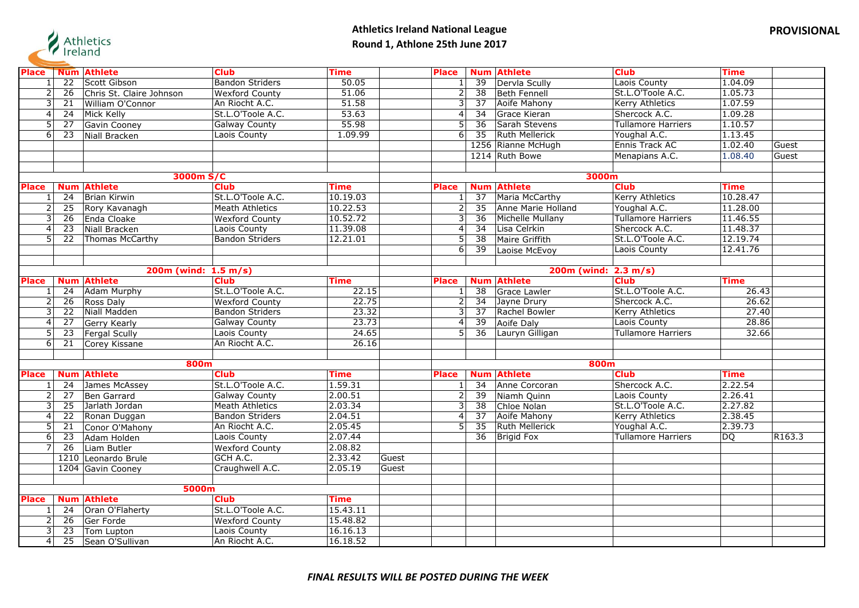

| <b>Place</b>     |                 | <b>Num Athlete</b>       | <b>Club</b>            | <b>Time</b> |       | <b>Place</b>   |                 | <b>Num Athlete</b>    | <b>Club</b>               | <b>Time</b> |                    |
|------------------|-----------------|--------------------------|------------------------|-------------|-------|----------------|-----------------|-----------------------|---------------------------|-------------|--------------------|
|                  | $\overline{22}$ | Scott Gibson             | <b>Bandon Striders</b> | 50.05       |       | 1              | $\overline{39}$ | Dervla Scully         | Laois County              | 1.04.09     |                    |
| $\overline{2}$   | 26              | Chris St. Claire Johnson | <b>Wexford County</b>  | 51.06       |       | $\overline{2}$ | $\overline{38}$ | Beth Fennell          | St.L.O'Toole A.C.         | 1.05.73     |                    |
| 3                | 21              | William O'Connor         | An Riocht A.C.         | 51.58       |       | $\overline{3}$ | 37              | Aoife Mahony          | <b>Kerry Athletics</b>    | 1.07.59     |                    |
| $\overline{4}$   | $\overline{24}$ | Mick Kelly               | St.L.O'Toole A.C.      | 53.63       |       | 4              | $\overline{34}$ | <b>Grace Kieran</b>   | Shercock A.C.             | 1.09.28     |                    |
| 5                | $\overline{27}$ | Gavin Cooney             | <b>Galway County</b>   | 55.98       |       | $\overline{5}$ | $\overline{36}$ | Sarah Stevens         | <b>Tullamore Harriers</b> | 1.10.57     |                    |
| $6 \overline{6}$ | 23              | Niall Bracken            | Laois County           | 1.09.99     |       | 6 <sup>1</sup> | $\overline{35}$ | <b>Ruth Mellerick</b> | Youghal A.C.              | 1.13.45     |                    |
|                  |                 |                          |                        |             |       |                |                 | 1256 Rianne McHugh    | Ennis Track AC            | 1.02.40     | Guest              |
|                  |                 |                          |                        |             |       |                |                 | 1214 Ruth Bowe        | Menapians A.C.            | 1.08.40     | Guest              |
|                  |                 |                          |                        |             |       |                |                 |                       |                           |             |                    |
|                  |                 | 3000m S/C                |                        |             |       |                |                 | 3000m                 |                           |             |                    |
| <b>Place</b>     |                 | <b>Num Athlete</b>       | <b>Club</b>            | <b>Time</b> |       | <b>Place</b>   |                 | <b>Num Athlete</b>    | <b>Club</b>               | <b>Time</b> |                    |
| 1                | 24              | <b>Brian Kirwin</b>      | St.L.O'Toole A.C.      | 10.19.03    |       | $\mathbf{1}$   | $\overline{37}$ | Maria McCarthy        | <b>Kerry Athletics</b>    | 10.28.47    |                    |
| $\overline{2}$   | 25              | Rory Kavanagh            | <b>Meath Athletics</b> | 10.22.53    |       | $\overline{2}$ | 35              | Anne Marie Holland    | Youghal A.C.              | 11.28.00    |                    |
| 3                | 26              | Enda Cloake              | <b>Wexford County</b>  | 10.52.72    |       | 3              | $\overline{36}$ | Michelle Mullany      | <b>Tullamore Harriers</b> | 11.46.55    |                    |
| $\overline{4}$   | $\overline{23}$ | Niall Bracken            | Laois County           | 11.39.08    |       | $\overline{4}$ | $\overline{34}$ | Lisa Celrkin          | Shercock A.C.             | 11.48.37    |                    |
| 5                | 22              | Thomas McCarthy          | <b>Bandon Striders</b> | 12.21.01    |       | 5 <sub>l</sub> | $\overline{38}$ | Maire Griffith        | St.L.O'Toole A.C.         | 12.19.74    |                    |
|                  |                 |                          |                        |             |       | $6 \mid$       | 39              | Laoise McEvoy         | Laois County              | 12.41.76    |                    |
|                  |                 |                          |                        |             |       |                |                 |                       |                           |             |                    |
|                  |                 | 200m (wind: 1.5 m/s)     |                        |             |       |                |                 | 200m (wind: 2.3 m/s)  |                           |             |                    |
| <b>Place</b>     |                 | <b>Num Athlete</b>       | <b>Club</b>            | <b>Time</b> |       | <b>Place</b>   |                 | <b>Num Athlete</b>    | <b>Club</b>               | <b>Time</b> |                    |
| $\mathbf{1}$     | 24              | <b>Adam Murphy</b>       | St.L.O'Toole A.C.      | 22.15       |       | $\mathbf{1}$   | $\overline{38}$ | Grace Lawler          | St.L.O'Toole A.C.         | 26.43       |                    |
| $\overline{2}$   | 26              | Ross Daly                | <b>Wexford County</b>  | 22.75       |       | $\overline{2}$ | 34              | Jayne Drury           | Shercock A.C.             | 26.62       |                    |
| $\overline{3}$   | 22              | Niall Madden             | <b>Bandon Striders</b> | 23.32       |       | لا             | $\overline{37}$ | Rachel Bowler         | Kerry Athletics           | 27.40       |                    |
| $\overline{4}$   | $\overline{27}$ | <b>Gerry Kearly</b>      | <b>Galway County</b>   | 23.73       |       | $\overline{4}$ | $\overline{39}$ | <b>Aoife Daly</b>     | Laois County              | 28.86       |                    |
| $\overline{5}$   | 23              | Fergal Scully            | Laois County           | 24.65       |       | $\overline{5}$ | 36              | Lauryn Gilligan       | <b>Tullamore Harriers</b> | 32.66       |                    |
| $\overline{6}$   | 21              | Corey Kissane            | An Riocht A.C.         | 26.16       |       |                |                 |                       |                           |             |                    |
|                  |                 |                          |                        |             |       |                |                 |                       |                           |             |                    |
|                  |                 | 800m                     |                        |             |       |                |                 | 800m                  |                           |             |                    |
| <b>Place</b>     |                 | <b>Num Athlete</b>       | <b>Club</b>            | Time        |       | Place          |                 | <b>Num Athlete</b>    | <b>Club</b>               | <b>Time</b> |                    |
| 1                | 24              | James McAssey            | St.L.O'Toole A.C.      | 1.59.31     |       | $1\vert$       | 34              | Anne Corcoran         | Shercock A.C.             | 2.22.54     |                    |
| 2                | 27              | Ben Garrard              | <b>Galway County</b>   | 2.00.51     |       | 2              | 39              | Niamh Quinn           | Laois County              | 2.26.41     |                    |
| $\overline{3}$   | 25              | Jarlath Jordan           | <b>Meath Athletics</b> | 2.03.34     |       | $\overline{3}$ | $\overline{38}$ | Chloe Nolan           | St.L.O'Toole A.C.         | 2.27.82     |                    |
| 4                | $\overline{22}$ | Ronan Duggan             | <b>Bandon Striders</b> | 2.04.51     |       | $\overline{4}$ | $\overline{37}$ | Aoife Mahony          | Kerry Athletics           | 2.38.45     |                    |
| 5                | 21              | Conor O'Mahony           | An Riocht A.C.         | 2.05.45     |       | 5 <sub>l</sub> | $\overline{35}$ | <b>Ruth Mellerick</b> | Youghal A.C.              | 2.39.73     |                    |
| 6                | 23              | Adam Holden              | Laois County           | 2.07.44     |       |                | 36              | <b>Brigid Fox</b>     | <b>Tullamore Harriers</b> | DO          | R <sub>163.3</sub> |
| 7                | 26              | Liam Butler              | <b>Wexford County</b>  | 2.08.82     |       |                |                 |                       |                           |             |                    |
|                  |                 | 1210 Leonardo Brule      | GCH A.C.               | 2.33.42     | Guest |                |                 |                       |                           |             |                    |
|                  |                 | 1204 Gavin Cooney        | Craughwell A.C.        | 2.05.19     | Guest |                |                 |                       |                           |             |                    |
|                  |                 |                          |                        |             |       |                |                 |                       |                           |             |                    |
|                  |                 | 5000m                    |                        |             |       |                |                 |                       |                           |             |                    |
| <b>Place</b>     |                 | <b>Num Athlete</b>       | <b>Club</b>            | <b>Time</b> |       |                |                 |                       |                           |             |                    |
| -1               | 24              | Oran O'Flaherty          | St.L.O'Toole A.C.      | 15.43.11    |       |                |                 |                       |                           |             |                    |
| 2                | 26              | Ger Forde                | <b>Wexford County</b>  | 15.48.82    |       |                |                 |                       |                           |             |                    |
| 3                | 23              | Tom Lupton               | Laois County           | 16.16.13    |       |                |                 |                       |                           |             |                    |
| 4                | 25              | Sean O'Sullivan          | An Riocht A.C.         | 16.18.52    |       |                |                 |                       |                           |             |                    |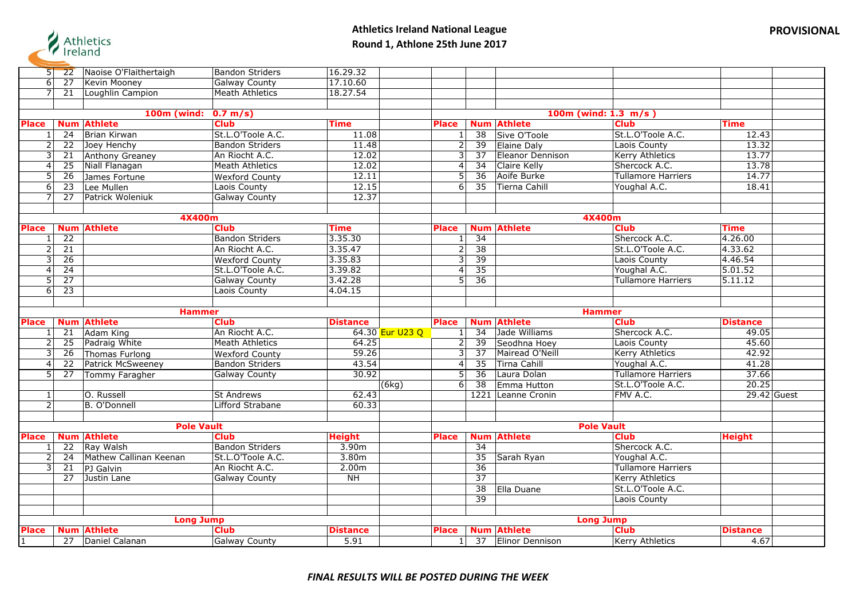

|  |  | <b>PROVISIONAL</b> |
|--|--|--------------------|
|  |  |                    |

| 5 <sub>1</sub> | 22              | Naoise O'Flaithertaigh                  | <b>Bandon Striders</b>              | 16.29.32                |                 |                                |                 |                                          |                                       |                         |             |
|----------------|-----------------|-----------------------------------------|-------------------------------------|-------------------------|-----------------|--------------------------------|-----------------|------------------------------------------|---------------------------------------|-------------------------|-------------|
| 6 <sup>1</sup> | $\overline{27}$ | Kevin Mooney                            | <b>Galway County</b>                | 17.10.60                |                 |                                |                 |                                          |                                       |                         |             |
| J              | $\overline{21}$ | Loughlin Campion                        | <b>Meath Athletics</b>              | 18.27.54                |                 |                                |                 |                                          |                                       |                         |             |
|                |                 |                                         |                                     |                         |                 |                                |                 |                                          |                                       |                         |             |
|                |                 | <b>100m (wind:</b>                      | 0.7 m/s                             |                         |                 |                                |                 |                                          | 100m (wind: $1.3 \, m/s$ )            |                         |             |
| <b>Place</b>   | <b>Num</b>      | <b>Athlete</b>                          | <b>Club</b>                         | Time                    |                 | <b>Place</b>                   |                 | <b>Num Athlete</b>                       | <b>Club</b>                           | <b>Time</b>             |             |
|                | $\overline{24}$ | Brian Kirwan                            | St.L.O'Toole A.C.                   | 11.08                   |                 | 1                              | $\overline{38}$ | Sive O'Toole                             | St.L.O'Toole A.C.                     | 12.43                   |             |
| 2              | 22              | Joey Henchy                             | <b>Bandon Striders</b>              | 11.48                   |                 | $\overline{2}$                 | 39              | Elaine Daly                              | Laois County                          | 13.32                   |             |
| 3              | 21              | Anthony Greaney                         | An Riocht A.C.                      | 12.02                   |                 | $\overline{3}$                 | $\overline{37}$ | Eleanor Dennison                         | <b>Kerry Athletics</b>                | 13.77                   |             |
| 4              | 25              | Niall Flanagan                          | <b>Meath Athletics</b>              | 12.02                   |                 | 4                              | 34              | Claire Kelly                             | Shercock A.C.                         | 13.78                   |             |
| 5              | $\overline{26}$ | James Fortune                           | <b>Wexford County</b>               | 12.11                   |                 | 5                              | $\overline{36}$ | Aoife Burke                              | <b>Tullamore Harriers</b>             | 14.77                   |             |
| 6              | 23              |                                         | Laois County                        | 12.15                   |                 | 6 <sup>1</sup>                 | 35              | Tierna Cahill                            | Youghal A.C.                          | 18.41                   |             |
| $\overline{7}$ | $\overline{27}$ | Lee Mullen<br>Patrick Woleniuk          | <b>Galway County</b>                | 12.37                   |                 |                                |                 |                                          |                                       |                         |             |
|                |                 |                                         |                                     |                         |                 |                                |                 |                                          |                                       |                         |             |
|                |                 | 4X400m                                  |                                     |                         |                 |                                |                 |                                          | 4X400m                                |                         |             |
| Place          |                 | <b>Num Athlete</b>                      | <b>Club</b>                         | Time                    |                 | <b>Place</b>                   |                 | <b>Num Athlete</b>                       | <b>Club</b>                           | <b>Time</b>             |             |
|                | $\overline{22}$ |                                         | <b>Bandon Striders</b>              | 3.35.30                 |                 | $\mathbf{1}$                   | $\overline{34}$ |                                          | Shercock A.C.                         | 4.26.00                 |             |
| $\overline{2}$ | $\overline{21}$ |                                         | An Riocht A.C.                      | 3.35.47                 |                 | 2                              | 38              |                                          | St.L.O'Toole A.C.                     | 4.33.62                 |             |
| 3              | $\overline{26}$ |                                         | <b>Wexford County</b>               | 3.35.83                 |                 | 3                              | 39              |                                          | Laois County                          | 4.46.54                 |             |
| $\overline{4}$ | $\overline{24}$ |                                         | St.L.O'Toole A.C.                   | 3.39.82                 |                 | $\boldsymbol{4}$               | $\overline{35}$ |                                          | Youghal A.C.                          | 5.01.52                 |             |
| 5              | $\overline{27}$ |                                         | <b>Galway County</b>                | 3.42.28                 |                 | 5 <sup>1</sup>                 | $\overline{36}$ |                                          | <b>Tullamore Harriers</b>             | 5.11.12                 |             |
| 6              | 23              |                                         | Laois County                        | 4.04.15                 |                 |                                |                 |                                          |                                       |                         |             |
|                |                 |                                         |                                     |                         |                 |                                |                 |                                          |                                       |                         |             |
|                |                 | <b>Hammer</b>                           |                                     |                         |                 |                                |                 |                                          | <b>Hammer</b>                         |                         |             |
|                |                 |                                         |                                     |                         |                 |                                |                 |                                          |                                       |                         |             |
| <b>Place</b>   |                 | <b>Num Athlete</b>                      | <b>Club</b>                         | <b>Distance</b>         |                 | <b>Place</b>                   |                 | <b>Num Athlete</b>                       | <b>Club</b>                           | <b>Distance</b>         |             |
|                | 21              | Adam King                               | An Riocht A.C.                      |                         | 64.30 Eur U23 Q | 1 <sup>1</sup>                 | $\overline{34}$ | Jade Williams                            | Shercock A.C.                         | 49.05                   |             |
| $\overline{2}$ | 25              | Padraig White                           | <b>Meath Athletics</b>              | 64.25                   |                 | $\overline{2}$                 | 39              | Seodhna Hoey                             | Laois County                          | 45.60                   |             |
| $\overline{3}$ | 26              | Thomas Furlong                          | <b>Wexford County</b>               | 59.26                   |                 | $\overline{3}$                 | $\overline{37}$ | Mairead O'Neill                          | <b>Kerry Athletics</b>                | 42.92                   |             |
| 4              | 22              | Patrick McSweeney                       | <b>Bandon Striders</b>              | 43.54                   |                 | $\vert$                        | $\overline{35}$ | Tirna Cahill                             | Youghal A.C.                          | 41.28                   |             |
| 5              | $\overline{27}$ | Tommy Faragher                          | <b>Galway County</b>                | 30.92                   |                 | 5 <sup>1</sup>                 | $\overline{36}$ | Laura Dolan                              | <b>Tullamore Harriers</b>             | 37.66                   |             |
|                |                 |                                         |                                     |                         | (6kg)           | 6 <sup>1</sup>                 | $\overline{38}$ | Emma Hutton                              | St.L.O'Toole A.C.                     | 20.25                   |             |
| $\mathbf{1}$   |                 | O. Russell                              | <b>St Andrews</b>                   | 62.43                   |                 |                                |                 | 1221 Leanne Cronin                       | FMV A.C.                              |                         | 29.42 Guest |
| $\overline{2}$ |                 | B. O'Donnell                            | Lifford Strabane                    | 60.33                   |                 |                                |                 |                                          |                                       |                         |             |
|                |                 |                                         |                                     |                         |                 |                                |                 |                                          |                                       |                         |             |
|                |                 | <b>Pole Vault</b>                       |                                     |                         |                 |                                |                 |                                          | <b>Pole Vault</b>                     |                         |             |
| <b>Place</b>   |                 | <b>Num Athlete</b>                      | <b>Club</b>                         | <b>Height</b>           |                 | Place                          |                 | <b>Num Athlete</b>                       | <b>Club</b>                           | <b>Height</b>           |             |
|                | 22              | Ray Walsh                               | <b>Bandon Striders</b>              | 3.90m                   |                 |                                | 34              |                                          | Shercock A.C.                         |                         |             |
|                | 24              | Mathew Callinan Keenan                  | St.L.O'Toole A.C.                   | 3.80m                   |                 |                                | $\overline{35}$ | Sarah Ryan                               | Youghal A.C.                          |                         |             |
| لا             | $\overline{21}$ | PJ Galvin                               | An Riocht A.C.                      | 2.00 <sub>m</sub>       |                 |                                | $\overline{36}$ |                                          | <b>Tullamore Harriers</b>             |                         |             |
|                | 27              | Justin Lane                             | <b>Galway County</b>                | NH                      |                 |                                | $\overline{37}$ |                                          | <b>Kerry Athletics</b>                |                         |             |
|                |                 |                                         |                                     |                         |                 |                                | 38              | Ella Duane                               | St.L.O'Toole A.C.                     |                         |             |
|                |                 |                                         |                                     |                         |                 |                                | $\overline{39}$ |                                          | Laois County                          |                         |             |
|                |                 |                                         |                                     |                         |                 |                                |                 |                                          |                                       |                         |             |
|                |                 | <b>Long Jump</b>                        |                                     |                         |                 |                                |                 |                                          | <b>Long Jump</b>                      |                         |             |
| <b>Place</b>   |                 | <b>Num Athlete</b><br>27 Daniel Calanan | <b>Club</b><br><b>Galway County</b> | <b>Distance</b><br>5.91 |                 | <b>Place</b><br>1 <sup>1</sup> |                 | <b>Num Athlete</b><br>37 Elinor Dennison | <b>Club</b><br><b>Kerry Athletics</b> | <b>Distance</b><br>4.67 |             |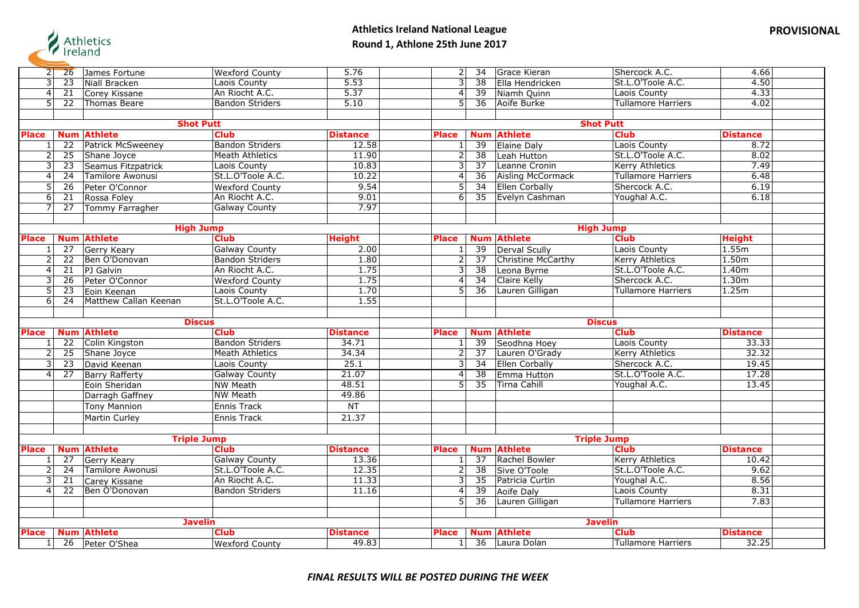

| $2\Gamma$      | <b>26</b>       | James Fortune                         | <b>Wexford County</b>  | 5.76                     | 2                       | 34              | Grace Kieran                      | Shercock A.C.             | 4.66                     |
|----------------|-----------------|---------------------------------------|------------------------|--------------------------|-------------------------|-----------------|-----------------------------------|---------------------------|--------------------------|
| 3              | $\overline{23}$ | Niall Bracken                         | Laois County           | 5.53                     | 3                       | 38              | Ella Hendricken                   | St.L.O'Toole A.C.         | 4.50                     |
| $\overline{4}$ | $\overline{21}$ | Corey Kissane                         | An Riocht A.C.         | 5.37                     | $\overline{4}$          | $\overline{39}$ | Niamh Quinn                       | Laois County              | 4.33                     |
| 5 <sup>1</sup> | 22              | <b>Thomas Beare</b>                   | <b>Bandon Striders</b> | 5.10                     | $\overline{5}$          | 36              | Aoife Burke                       | Tullamore Harriers        | 4.02                     |
|                |                 |                                       |                        |                          |                         |                 |                                   |                           |                          |
|                |                 |                                       | <b>Shot Putt</b>       |                          |                         |                 |                                   | <b>Shot Putt</b>          |                          |
| <b>Place</b>   | <b>Num</b>      | <b>Athlete</b>                        | <b>Club</b>            | <b>Distance</b>          | <b>Place</b>            | <b>Num</b>      | <b>Athlete</b>                    | <b>Club</b>               | <b>Distance</b>          |
|                | $\overline{22}$ | Patrick McSweeney                     | <b>Bandon Striders</b> | 12.58                    | $\mathbf{1}$            | 39              | Elaine Daly                       | Laois County              | 8.72                     |
| 2              | 25              | Shane Joyce                           | Meath Athletics        | 11.90                    | $\overline{2}$          | 38              | Leah Hutton                       | St.L.O'Toole A.C.         | 8.02                     |
| 3              | 23              | Seamus Fitzpatrick                    | Laois County           | 10.83                    | $\overline{3}$          | 37              | Leanne Cronin                     | <b>Kerry Athletics</b>    | 7.49                     |
| 4              | 24              | Tamilore Awonusi                      | St.L.O'Toole A.C.      | 10.22                    | $\overline{4}$          | $\overline{36}$ | <b>Aisling McCormack</b>          | <b>Tullamore Harriers</b> | 6.48                     |
| 5              | 26              | Peter O'Connor                        | <b>Wexford County</b>  | 9.54                     | $\overline{5}$          | 34              | <b>Ellen Corbally</b>             | Shercock A.C.             | 6.19                     |
| 6              | 21              | Rossa Foley                           | An Riocht A.C.         | 9.01                     | $\overline{6}$          | $\overline{35}$ | Evelyn Cashman                    | Youghal A.C.              | 6.18                     |
| $\overline{7}$ | 27              | Tommy Farragher                       | <b>Galway County</b>   | 7.97                     |                         |                 |                                   |                           |                          |
|                |                 |                                       |                        |                          |                         |                 |                                   |                           |                          |
|                |                 |                                       | <b>High Jump</b>       |                          |                         |                 |                                   | <b>High Jump</b>          |                          |
| <b>Place</b>   | <b>Num</b>      | <b>Athlete</b>                        | <b>Club</b>            | <b>Height</b>            | <b>Place</b>            | <b>Num</b>      | <b>Athlete</b>                    | <b>Club</b>               | <b>Height</b>            |
| 1              | 27              | Gerry Keary                           | <b>Galway County</b>   | 2.00                     | 1                       | 39              | Derval Scully                     | Laois County              | 1.55m                    |
|                | $\overline{22}$ | Ben O'Donovan                         | <b>Bandon Striders</b> | 1.80                     | $\overline{2}$          | $\overline{37}$ | Christine McCarthy                | <b>Kerry Athletics</b>    | 1.50m                    |
| 4              | $\overline{21}$ | PJ Galvin                             | An Riocht A.C.         | 1.75                     | $\overline{3}$          | $\overline{38}$ | Leona Byrne                       | St.L.O'Toole A.C.         | 1.40m                    |
| 3              | 26              | Peter O'Connor                        | <b>Wexford County</b>  | 1.75                     | $\overline{4}$          | $\overline{34}$ | Claire Kelly                      | Shercock A.C.             | 1.30m                    |
| 5              | 23              | Eoin Keenan                           | Laois County           | 1.70                     | 5                       | 36              | Lauren Gilligan                   | Tullamore Harriers        | 1.25m                    |
| $\overline{6}$ | 24              | Matthew Callan Keenan                 | St.L.O'Toole A.C.      | 1.55                     |                         |                 |                                   |                           |                          |
|                |                 |                                       |                        |                          |                         |                 |                                   |                           |                          |
|                |                 |                                       |                        |                          |                         |                 |                                   |                           |                          |
|                |                 |                                       | <b>Discus</b>          |                          |                         |                 |                                   | <b>Discus</b>             |                          |
| <b>Place</b>   |                 | <b>Num Athlete</b>                    | <b>Club</b>            | <b>Distance</b>          | <b>Place</b>            | <b>Num</b>      | <b>Athlete</b>                    | <b>Club</b>               | <b>Distance</b>          |
| 1              | 22              | Colin Kingston                        | <b>Bandon Striders</b> | 34.71                    | 1                       | 39              | Seodhna Hoey                      | Laois County              | 33.33                    |
| 2              | 25              | Shane Joyce                           | <b>Meath Athletics</b> | 34.34                    | $\overline{2}$          | 37              | Lauren O'Grady                    | <b>Kerry Athletics</b>    | 32.32                    |
| 3              | $\overline{23}$ | David Keenan                          | Laois County           | 25.1                     | $\overline{\mathbf{3}}$ | $\overline{34}$ | <b>Ellen Corbally</b>             | Shercock A.C.             | 19.45                    |
| $\overline{4}$ | $\overline{27}$ | <b>Barry Rafferty</b>                 | <b>Galway County</b>   | 21.07                    | $\overline{4}$          | $\overline{38}$ | Emma Hutton                       | St.L.O'Toole A.C.         | 17.28                    |
|                |                 | Eoin Sheridan                         | <b>NW Meath</b>        | 48.51                    | 5                       | $\overline{35}$ | <b>Tirna Cahill</b>               | Youghal A.C.              | 13.45                    |
|                |                 | Darragh Gaffney                       | <b>NW Meath</b>        | 49.86                    |                         |                 |                                   |                           |                          |
|                |                 | <b>Tony Mannion</b>                   | <b>Ennis Track</b>     | NT                       |                         |                 |                                   |                           |                          |
|                |                 | Martin Curley                         | <b>Ennis Track</b>     | 21.37                    |                         |                 |                                   |                           |                          |
|                |                 |                                       |                        |                          |                         |                 |                                   |                           |                          |
|                |                 |                                       | <b>Triple Jump</b>     |                          |                         |                 |                                   | <b>Triple Jump</b>        |                          |
| <b>Place</b>   |                 | <b>Num Athlete</b>                    | <b>Club</b>            | <b>Distance</b>          | <b>Place</b>            | <b>Num</b>      | <b>Athlete</b>                    | <b>Club</b>               | <b>Distance</b>          |
| $\mathbf{1}$   | 27              | Gerry Keary                           | <b>Galway County</b>   | 13.36                    | $\mathbf{1}$            | 37              | Rachel Bowler                     | <b>Kerry Athletics</b>    | 10.42                    |
| $\overline{2}$ | 24              | Tamilore Awonusi                      | St.L.O'Toole A.C.      | 12.35                    | $\overline{2}$          | $\overline{38}$ | Sive O'Toole                      | St.L.O'Toole A.C.         | 9.62                     |
| 3              | 21              | Carey Kissane                         | An Riocht A.C.         | 11.33                    | 3                       | $\overline{35}$ | Patricia Curtin                   | Youghal A.C.              | 8.56                     |
| $\overline{4}$ | $\overline{22}$ | Ben O'Donovan                         | <b>Bandon Striders</b> | 11.16                    | $\overline{\mathbf{4}}$ | $\overline{39}$ | Aoife Daly                        | Laois County              | 8.31                     |
|                |                 |                                       |                        |                          | $\overline{5}$          | 36              | Lauren Gilligan                   | <b>Tullamore Harriers</b> | 7.83                     |
|                |                 |                                       |                        |                          |                         |                 |                                   |                           |                          |
|                |                 |                                       | <b>Javelin</b>         |                          |                         |                 |                                   | <b>Javelin</b>            |                          |
| <b>Place</b>   |                 | <b>Num Athlete</b><br>26 Peter O'Shea | <b>Club</b>            | <b>Distance</b><br>49.83 | <b>Place</b>            | 36              | <b>Num Athlete</b><br>Laura Dolan | <b>Club</b>               | <b>Distance</b><br>32.25 |